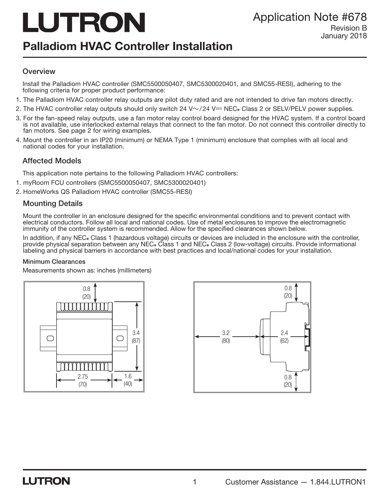# LUTRON

## Palladiom HVAC Controller Installation

## January 2018

## **Overview**

Install the Palladiom HVAC controller (SMC5500050407, SMC5300020401, and SMC55-RESI), adhering to the following criteria for proper product performance:

- 1. The Palladiom HVAC controller relay outputs are pilot duty rated and are not intended to drive fan motors directly.
- 2. The HVAC controller relay outputs should only switch 24  $V \sim$ /24 V $=$  NEC. Class 2 or SELV/PELV power supplies.
- 3. For the fan-speed relay outputs, use a fan motor relay control board designed for the HVAC system. If a control board is not available, use interlocked external relays that connect to the fan motor. Do not connect this controller directly to fan motors. See page 2 for wiring examples.
- 4. Mount the controller in an IP20 (minimum) or NEMA Type 1 (minimum) enclosure that complies with all local and national codes for your installation.

## Affected Models

This application note pertains to the following Palladiom HVAC controllers:

- 1. myRoom FCU controllers (SMC5500050407, SMC5300020401)
- 2. HomeWorks QS Palladiom HVAC controller (SMC55-RESI)

## Mounting Details

Mount the controller in an enclosure designed for the specific environmental conditions and to prevent contact with electrical conductors. Follow all local and national codes. Use of metal enclosures to improve the electromagnetic immunity of the controller system is recommended. Allow for the specified clearances shown below.

In addition, if any NEC<sub>®</sub> Class 1 (hazardous voltage) circuits or devices are included in the enclosure with the controller, provide physical separation between any NEC. Class 1 and NEC. Class 2 (low-voltage) circuits. Provide informational labeling and physical barriers in accordance with best practices and local/national codes for your installation.

#### Minimum Clearances

Measurements shown as: inches (millimeters)



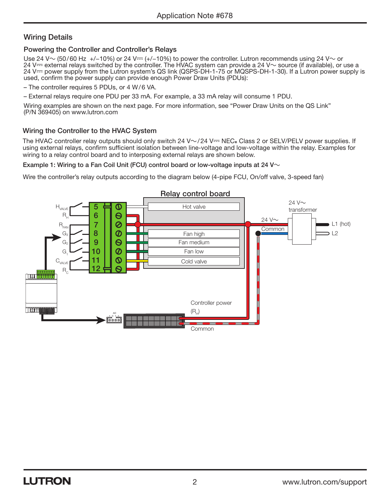## Wiring Details

## Powering the Controller and Controller's Relays

Use 24 V~ (50/60 Hz +/-10%) or 24 V== (+/-10%) to power the controller. Lutron recommends using 24 V~ or 24 V $\rightleftharpoons$  external relays switched by the controller. The HVAC system can provide a 24 V $\sim$  source (if available), or use a 24 V- power supply from the Lutron system's QS link (QSPS-DH-1-75 or MQSPS-DH-1-30). If a Lutron power supply is used, confirm the power supply can provide enough Power Draw Units (PDUs):

– The controller requires 5 PDUs, or 4 W/6 VA.

– External relays require one PDU per 33 mA. For example, a 33 mA relay will consume 1 PDU.

Wiring examples are shown on the next page. For more information, see "Power Draw Units on the QS Link" (P/N 369405) on www.lutron.com

## Wiring the Controller to the HVAC System

The HVAC controller relay outputs should only switch 24 V $\sim$ /24 V== NEC. Class 2 or SELV/PELV power supplies. If using external relays, confirm sufficient isolation between line-voltage and low-voltage within the relay. Examples for wiring to a relay control board and to interposing external relays are shown below.

Example 1: Wiring to a Fan Coil Unit (FCU) control board or low-voltage inputs at 24 V $\sim$ 

Wire the controller's relay outputs according to the diagram below (4-pipe FCU, On/off valve, 3-speed fan)

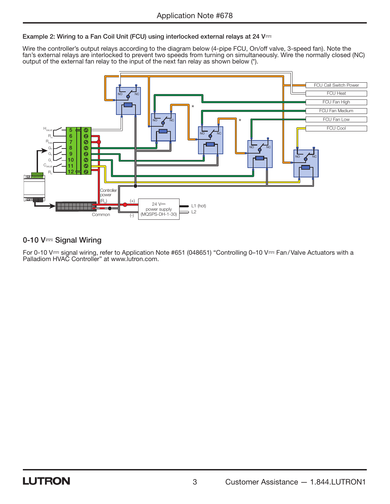Example 2: Wiring to a Fan Coil Unit (FCU) using interlocked external relays at 24 V---

Wire the controller's output relays according to the diagram below (4-pipe FCU, On/off valve, 3-speed fan). Note the fan's external relays are interlocked to prevent two speeds from turning on simultaneously. Wire the normally closed (NC) output of the external fan relay to the input of the next fan relay as shown below (\*).



## 0-10  $V =$  Signal Wiring

For 0-10 V--- signal wiring, refer to Application Note #651 (048651) "Controlling 0–10 V--- Fan / Valve Actuators with a Palladiom HVAC Controller" at www.lutron.com.